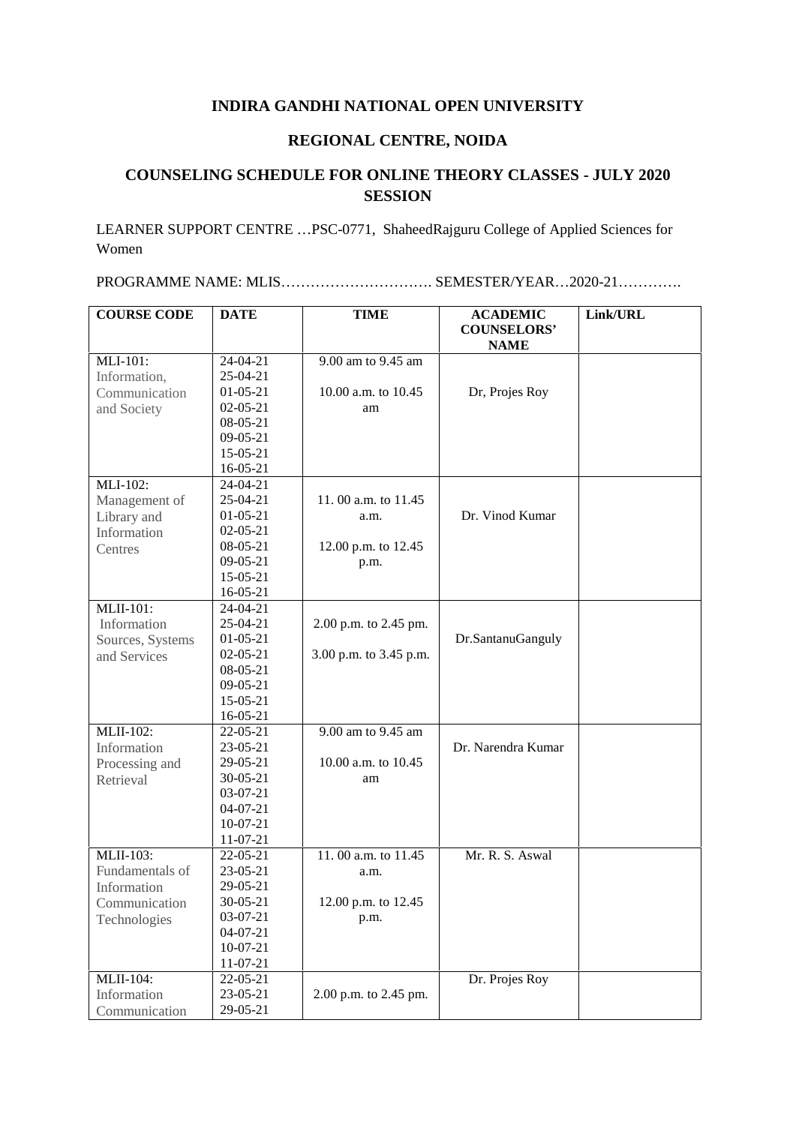## **INDIRA GANDHI NATIONAL OPEN UNIVERSITY**

## **REGIONAL CENTRE, NOIDA**

## **COUNSELING SCHEDULE FOR ONLINE THEORY CLASSES - JULY 2020 SESSION**

LEARNER SUPPORT CENTRE …PSC-0771, ShaheedRajguru College of Applied Sciences for Women

PROGRAMME NAME: MLIS…………………………. SEMESTER/YEAR…2020-21………….

| <b>COURSE CODE</b> | <b>DATE</b>    | <b>TIME</b>            | <b>ACADEMIC</b><br><b>COUNSELORS'</b> | Link/URL |
|--------------------|----------------|------------------------|---------------------------------------|----------|
|                    |                |                        | <b>NAME</b>                           |          |
| MLI-101:           | $24 - 04 - 21$ | 9.00 am to 9.45 am     |                                       |          |
| Information,       | $25-04-21$     |                        |                                       |          |
| Communication      | $01 - 05 - 21$ | 10.00 a.m. to 10.45    | Dr, Projes Roy                        |          |
| and Society        | $02 - 05 - 21$ | am                     |                                       |          |
|                    | 08-05-21       |                        |                                       |          |
|                    | $09 - 05 - 21$ |                        |                                       |          |
|                    | 15-05-21       |                        |                                       |          |
|                    | $16 - 05 - 21$ |                        |                                       |          |
| MLI-102:           | $24-04-21$     |                        |                                       |          |
| Management of      | 25-04-21       | 11.00 a.m. to 11.45    |                                       |          |
| Library and        | $01-05-21$     | a.m.                   | Dr. Vinod Kumar                       |          |
| Information        | $02 - 05 - 21$ |                        |                                       |          |
| Centres            | 08-05-21       | 12.00 p.m. to 12.45    |                                       |          |
|                    | $09-05-21$     | p.m.                   |                                       |          |
|                    | 15-05-21       |                        |                                       |          |
|                    | $16 - 05 - 21$ |                        |                                       |          |
| <b>MLII-101:</b>   | 24-04-21       |                        |                                       |          |
| Information        | 25-04-21       | 2.00 p.m. to 2.45 pm.  |                                       |          |
| Sources, Systems   | $01 - 05 - 21$ |                        | Dr.SantanuGanguly                     |          |
| and Services       | $02 - 05 - 21$ | 3.00 p.m. to 3.45 p.m. |                                       |          |
|                    | 08-05-21       |                        |                                       |          |
|                    | $09-05-21$     |                        |                                       |          |
|                    | $15-05-21$     |                        |                                       |          |
|                    | 16-05-21       |                        |                                       |          |
| <b>MLII-102:</b>   | 22-05-21       | 9.00 am to 9.45 am     |                                       |          |
| Information        | 23-05-21       |                        | Dr. Narendra Kumar                    |          |
| Processing and     | 29-05-21       | 10.00 a.m. to 10.45    |                                       |          |
| Retrieval          | $30 - 05 - 21$ | am                     |                                       |          |
|                    | 03-07-21       |                        |                                       |          |
|                    | $04 - 07 - 21$ |                        |                                       |          |
|                    | $10-07-21$     |                        |                                       |          |
|                    | 11-07-21       |                        |                                       |          |
| <b>MLII-103:</b>   | 22-05-21       | 11.00 a.m. to 11.45    | Mr. R. S. Aswal                       |          |
| Fundamentals of    | $23 - 05 - 21$ | a.m.                   |                                       |          |
| Information        | 29-05-21       |                        |                                       |          |
| Communication      | $30 - 05 - 21$ | 12.00 p.m. to 12.45    |                                       |          |
| Technologies       | $03-07-21$     | p.m.                   |                                       |          |
|                    | $04 - 07 - 21$ |                        |                                       |          |
|                    | $10-07-21$     |                        |                                       |          |
|                    | 11-07-21       |                        |                                       |          |
| <b>MLII-104:</b>   | 22-05-21       |                        | Dr. Projes Roy                        |          |
| Information        | 23-05-21       | 2.00 p.m. to 2.45 pm.  |                                       |          |
| Communication      | 29-05-21       |                        |                                       |          |